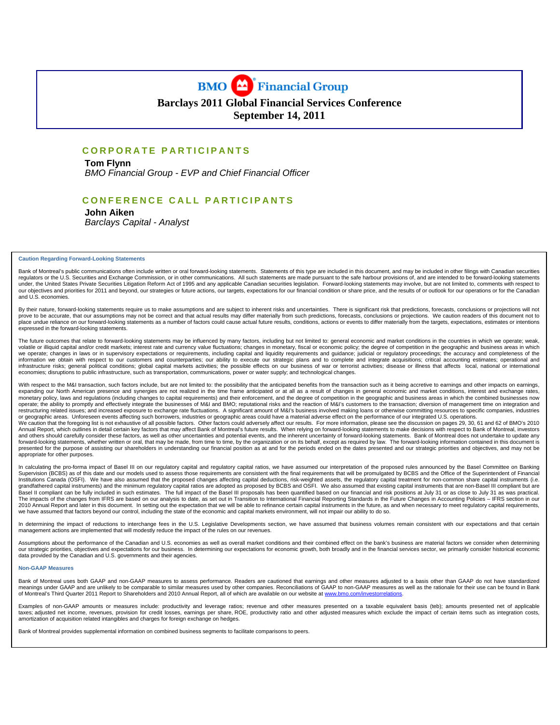

**Barclays 2011 Global Financial Services Conference September 14, 2011** 

**CORPORATE PARTICIPANTS** 

 **Tom Flynn**   *BMO Financial Group - EVP and Chief Financial Officer* 

#### **CONFERENCE CALL PARTICIPANTS**

 **John Aiken**   *Barclays Capital - Analyst* 

**Caution Regarding Forward-Looking Statements** 

Bank of Montreal's public communications often include written or oral forward-looking statements. Statements of this type are included in this document, and may be included in other filings with Canadian securities regulators or the U.S. Securities and Exchange Commission, or in other communications. All such statements are made pursuant to the safe harbour provisions of, and are intended to be forward-looking statements under, the United States Private Securities Litigation Reform Act of 1995 and any applicable Canadian securities legislation. Forward-looking statements may involve, but are not limited to, comments with respect to<br>our obj and U.S. economies.

By their nature, forward-looking statements require us to make assumptions and are subject to inherent risks and uncertainties. There is significant risk that predictions, forecasts, conclusions or projections will not prove to be accurate, that our assumptions may not be correct and that actual results may differ materially from such predictions, forecasts, conclusions or projections. We caution readers of this document not to<br>place und expressed in the forward-looking statements

The future outcomes that relate to forward-looking statements may be influenced by many factors, including but not limited to: general economic and market conditions in the countries in which we operate; weak, volatile or illiquid capital and/or credit markets; interest rate and currency value fluctuations; changes in monetary, fiscal or economic policy; the degree of competition in the geographic and business areas in which<br>we infrastructure risks; general political conditions; global capital markets activities; the possible effects on our business of war or terrorist activities; disease or illness that affects local, national or international economies; disruptions to public infrastructure, such as transportation, communications, power or water supply; and technological changes.

With respect to the M&I transaction, such factors include, but are not limited to: the possibility that the anticipated benefits from the transaction such as it being accretive to earnings and other impacts on earnings, expanding our North American presence and synergies are not realized in the time frame anticipated or at all as a result of changes in general economic and market conditions, interest and exchange rates, monetary policy, laws and regulations (including changes to capital requirements) and their enforcement, and the degree of competition in the geographic and business areas in which the combined businesses now<br>operate; the restructuring related issues; and increased exposure to exchange rate fluctuations. A significant amount of M&I's business involved making loans or otherwise committing resources to specific companies, industries

or geographic areas. Unforeseen events affecting such borrowers, industries or geographic areas could have a material adverse effect on the performance of our integrated U.S. operations.<br>We caution that the foregoing list Annual Report, which outlines in detail certain key factors that may affect Bank of Montreal's future results. When relying on forward-looking statements to make decisions with respect to Bank of Montreal, investors<br>and ot forward-looking statements, whether written or oral, that may be made, from time to time, by the organization or on its behalf, except as required by law. The forward-looking information contained in this document is presented for the purpose of assisting our shareholders in understanding our financial position as at and for the periods ended on the dates presented and our strategic priorities and objectives, and may not be appropriate for other purposes.

In calculating the pro-forma impact of Basel III on our regulatory capital and regulatory capital ratios, we have assumed our interpretation of the proposed rules announced by the Basel Committee on Banking Supervision (BCBS) as of this date and our models used to assess those requirements are consistent with the final requirements that will be promulgated by BCBS and the Office of the Superintendent of Financial Institutions Canada (OSFI). We have also assumed that the proposed changes affecting capital deductions, risk-weighted assets, the regulatory capital treatment for non-common share capital instruments (i.e.<br>grandfathered c 2010 Annual Report and later in this document. In setting out the expectation that we will be able to refinance certain capital instruments in the future, as and when necessary to meet regulatory capital requirements, we have assumed that factors beyond our control, including the state of the economic and capital markets environment, will not impair our ability to do so.

In determining the impact of reductions to interchange fees in the U.S. Legislative Developments section, we have assumed that business volumes remain consistent with our expectations and that certain management actions are implemented that will modestly reduce the impact of the rules on our revenues.

Assumptions about the performance of the Canadian and U.S. economies as well as overall market conditions and their combined effect on the bank's business are material factors we consider when determining<br>our strategic pri data provided by the Canadian and U.S. governments and their agencies.

#### **Non-GAAP Measures**

.<br>Bank of Montreal uses both GAAP and non-GAAP measures to assess performance. Readers are cautioned that eamings and other measures adjusted to a basis other than GAAP do not have standardized<br>meanings under GAAP and are of Montreal's Third Quarter 2011 Report to Shareholders and 2010 Annual Report, all of which are available on our website at www.bmo.com

Examples of non-GAAP amounts or measures include: productivity and leverage ratios; revenue and other measures presented on a taxable equivalent basis (teb); amounts presented net of applicable<br>taxes; adjusted net income,

Bank of Montreal provides supplemental information on combined business segments to facilitate comparisons to peers.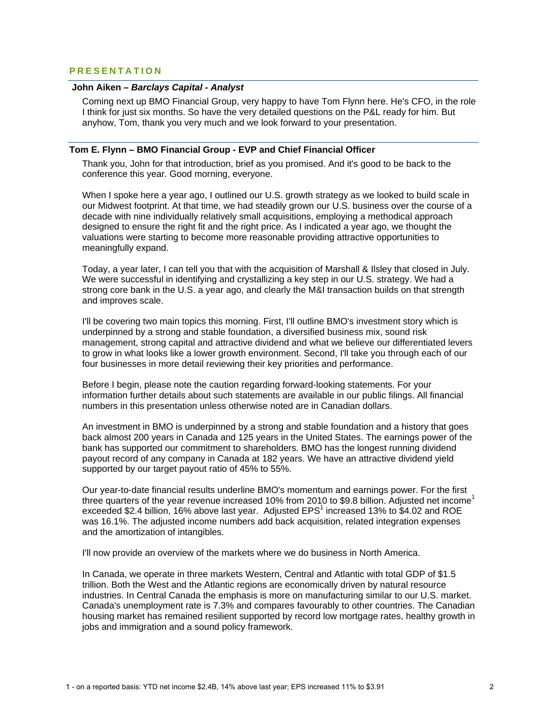# **PRESENTATION**

### **John Aiken** *– Barclays Capital - Analyst*

Coming next up BMO Financial Group, very happy to have Tom Flynn here. He's CFO, in the role I think for just six months. So have the very detailed questions on the P&L ready for him. But anyhow, Tom, thank you very much and we look forward to your presentation.

### **Tom E. Flynn – BMO Financial Group - EVP and Chief Financial Officer**

Thank you, John for that introduction, brief as you promised. And it's good to be back to the conference this year. Good morning, everyone.

When I spoke here a year ago, I outlined our U.S. growth strategy as we looked to build scale in our Midwest footprint. At that time, we had steadily grown our U.S. business over the course of a decade with nine individually relatively small acquisitions, employing a methodical approach designed to ensure the right fit and the right price. As I indicated a year ago, we thought the valuations were starting to become more reasonable providing attractive opportunities to meaningfully expand.

Today, a year later, I can tell you that with the acquisition of Marshall & Ilsley that closed in July. We were successful in identifying and crystallizing a key step in our U.S. strategy. We had a strong core bank in the U.S. a year ago, and clearly the M&I transaction builds on that strength and improves scale.

I'll be covering two main topics this morning. First, I'll outline BMO's investment story which is underpinned by a strong and stable foundation, a diversified business mix, sound risk management, strong capital and attractive dividend and what we believe our differentiated levers to grow in what looks like a lower growth environment. Second, I'll take you through each of our four businesses in more detail reviewing their key priorities and performance.

Before I begin, please note the caution regarding forward-looking statements. For your information further details about such statements are available in our public filings. All financial numbers in this presentation unless otherwise noted are in Canadian dollars.

An investment in BMO is underpinned by a strong and stable foundation and a history that goes back almost 200 years in Canada and 125 years in the United States. The earnings power of the bank has supported our commitment to shareholders. BMO has the longest running dividend payout record of any company in Canada at 182 years. We have an attractive dividend yield supported by our target payout ratio of 45% to 55%.

Our year-to-date financial results underline BMO's momentum and earnings power. For the first three quarters of the year revenue increased 10% from 2010 to \$9.8 billion. Adjusted net income<sup>1</sup> exceeded \$2.4 billion, 16% above last year. Adjusted  $EPS<sup>1</sup>$  increased 13% to \$4.02 and ROE was 16.1%. The adjusted income numbers add back acquisition, related integration expenses and the amortization of intangibles.

I'll now provide an overview of the markets where we do business in North America.

In Canada, we operate in three markets Western, Central and Atlantic with total GDP of \$1.5 trillion. Both the West and the Atlantic regions are economically driven by natural resource industries. In Central Canada the emphasis is more on manufacturing similar to our U.S. market. Canada's unemployment rate is 7.3% and compares favourably to other countries. The Canadian housing market has remained resilient supported by record low mortgage rates, healthy growth in jobs and immigration and a sound policy framework.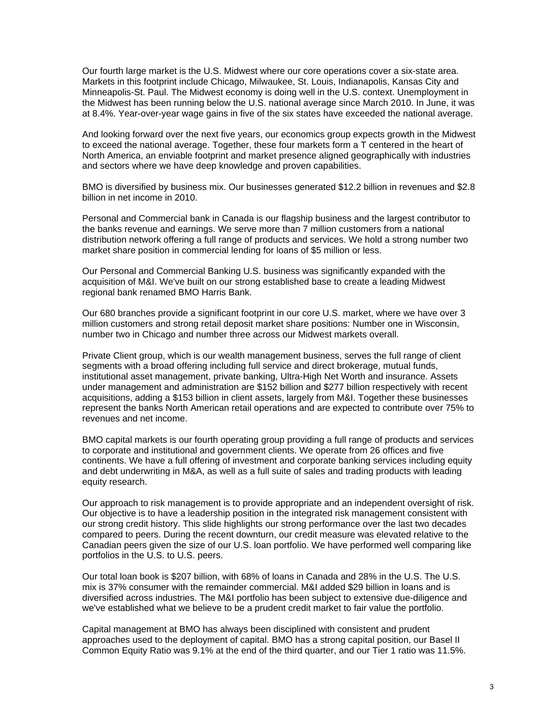Our fourth large market is the U.S. Midwest where our core operations cover a six-state area. Markets in this footprint include Chicago, Milwaukee, St. Louis, Indianapolis, Kansas City and Minneapolis-St. Paul. The Midwest economy is doing well in the U.S. context. Unemployment in the Midwest has been running below the U.S. national average since March 2010. In June, it was at 8.4%. Year-over-year wage gains in five of the six states have exceeded the national average.

And looking forward over the next five years, our economics group expects growth in the Midwest to exceed the national average. Together, these four markets form a T centered in the heart of North America, an enviable footprint and market presence aligned geographically with industries and sectors where we have deep knowledge and proven capabilities.

BMO is diversified by business mix. Our businesses generated \$12.2 billion in revenues and \$2.8 billion in net income in 2010.

Personal and Commercial bank in Canada is our flagship business and the largest contributor to the banks revenue and earnings. We serve more than 7 million customers from a national distribution network offering a full range of products and services. We hold a strong number two market share position in commercial lending for loans of \$5 million or less.

Our Personal and Commercial Banking U.S. business was significantly expanded with the acquisition of M&I. We've built on our strong established base to create a leading Midwest regional bank renamed BMO Harris Bank.

Our 680 branches provide a significant footprint in our core U.S. market, where we have over 3 million customers and strong retail deposit market share positions: Number one in Wisconsin, number two in Chicago and number three across our Midwest markets overall.

Private Client group, which is our wealth management business, serves the full range of client segments with a broad offering including full service and direct brokerage, mutual funds, institutional asset management, private banking, Ultra-High Net Worth and insurance. Assets under management and administration are \$152 billion and \$277 billion respectively with recent acquisitions, adding a \$153 billion in client assets, largely from M&I. Together these businesses represent the banks North American retail operations and are expected to contribute over 75% to revenues and net income.

BMO capital markets is our fourth operating group providing a full range of products and services to corporate and institutional and government clients. We operate from 26 offices and five continents. We have a full offering of investment and corporate banking services including equity and debt underwriting in M&A, as well as a full suite of sales and trading products with leading equity research.

Our approach to risk management is to provide appropriate and an independent oversight of risk. Our objective is to have a leadership position in the integrated risk management consistent with our strong credit history. This slide highlights our strong performance over the last two decades compared to peers. During the recent downturn, our credit measure was elevated relative to the Canadian peers given the size of our U.S. loan portfolio. We have performed well comparing like portfolios in the U.S. to U.S. peers.

Our total loan book is \$207 billion, with 68% of loans in Canada and 28% in the U.S. The U.S. mix is 37% consumer with the remainder commercial. M&I added \$29 billion in loans and is diversified across industries. The M&I portfolio has been subject to extensive due-diligence and we've established what we believe to be a prudent credit market to fair value the portfolio.

Capital management at BMO has always been disciplined with consistent and prudent approaches used to the deployment of capital. BMO has a strong capital position, our Basel II Common Equity Ratio was 9.1% at the end of the third quarter, and our Tier 1 ratio was 11.5%.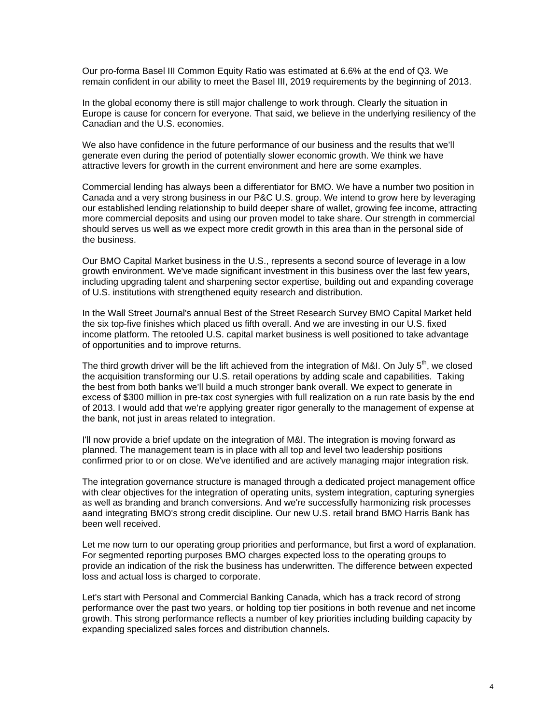Our pro-forma Basel III Common Equity Ratio was estimated at 6.6% at the end of Q3. We remain confident in our ability to meet the Basel III, 2019 requirements by the beginning of 2013.

In the global economy there is still major challenge to work through. Clearly the situation in Europe is cause for concern for everyone. That said, we believe in the underlying resiliency of the Canadian and the U.S. economies.

We also have confidence in the future performance of our business and the results that we'll generate even during the period of potentially slower economic growth. We think we have attractive levers for growth in the current environment and here are some examples.

Commercial lending has always been a differentiator for BMO. We have a number two position in Canada and a very strong business in our P&C U.S. group. We intend to grow here by leveraging our established lending relationship to build deeper share of wallet, growing fee income, attracting more commercial deposits and using our proven model to take share. Our strength in commercial should serves us well as we expect more credit growth in this area than in the personal side of the business.

Our BMO Capital Market business in the U.S., represents a second source of leverage in a low growth environment. We've made significant investment in this business over the last few years, including upgrading talent and sharpening sector expertise, building out and expanding coverage of U.S. institutions with strengthened equity research and distribution.

In the Wall Street Journal's annual Best of the Street Research Survey BMO Capital Market held the six top-five finishes which placed us fifth overall. And we are investing in our U.S. fixed income platform. The retooled U.S. capital market business is well positioned to take advantage of opportunities and to improve returns.

The third growth driver will be the lift achieved from the integration of M&I. On July  $5<sup>th</sup>$ , we closed the acquisition transforming our U.S. retail operations by adding scale and capabilities. Taking the best from both banks we'll build a much stronger bank overall. We expect to generate in excess of \$300 million in pre-tax cost synergies with full realization on a run rate basis by the end of 2013. I would add that we're applying greater rigor generally to the management of expense at the bank, not just in areas related to integration.

I'll now provide a brief update on the integration of M&I. The integration is moving forward as planned. The management team is in place with all top and level two leadership positions confirmed prior to or on close. We've identified and are actively managing major integration risk.

The integration governance structure is managed through a dedicated project management office with clear objectives for the integration of operating units, system integration, capturing synergies as well as branding and branch conversions. And we're successfully harmonizing risk processes aand integrating BMO's strong credit discipline. Our new U.S. retail brand BMO Harris Bank has been well received.

Let me now turn to our operating group priorities and performance, but first a word of explanation. For segmented reporting purposes BMO charges expected loss to the operating groups to provide an indication of the risk the business has underwritten. The difference between expected loss and actual loss is charged to corporate.

Let's start with Personal and Commercial Banking Canada, which has a track record of strong performance over the past two years, or holding top tier positions in both revenue and net income growth. This strong performance reflects a number of key priorities including building capacity by expanding specialized sales forces and distribution channels.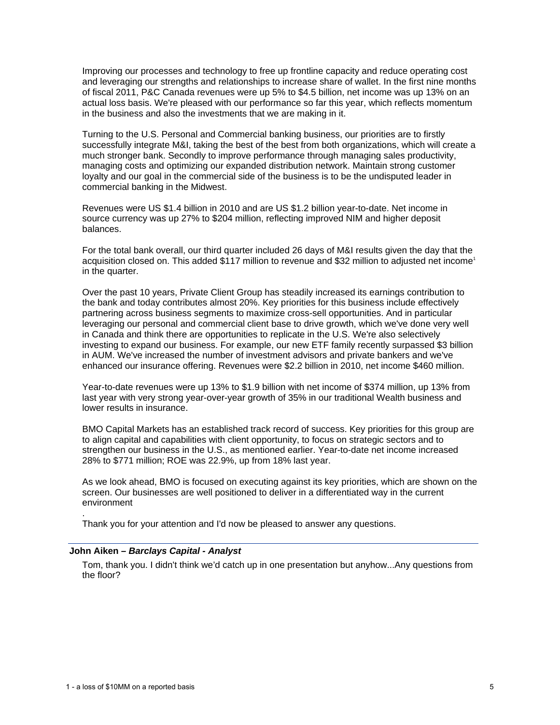Improving our processes and technology to free up frontline capacity and reduce operating cost and leveraging our strengths and relationships to increase share of wallet. In the first nine months of fiscal 2011, P&C Canada revenues were up 5% to \$4.5 billion, net income was up 13% on an actual loss basis. We're pleased with our performance so far this year, which reflects momentum in the business and also the investments that we are making in it.

Turning to the U.S. Personal and Commercial banking business, our priorities are to firstly successfully integrate M&I, taking the best of the best from both organizations, which will create a much stronger bank. Secondly to improve performance through managing sales productivity, managing costs and optimizing our expanded distribution network. Maintain strong customer loyalty and our goal in the commercial side of the business is to be the undisputed leader in commercial banking in the Midwest.

Revenues were US \$1.4 billion in 2010 and are US \$1.2 billion year-to-date. Net income in source currency was up 27% to \$204 million, reflecting improved NIM and higher deposit balances.

For the total bank overall, our third quarter included 26 days of M&I results given the day that the acquisition closed on. This added \$117 million to revenue and \$32 million to adjusted net income<sup>1</sup> in the quarter.

Over the past 10 years, Private Client Group has steadily increased its earnings contribution to the bank and today contributes almost 20%. Key priorities for this business include effectively partnering across business segments to maximize cross-sell opportunities. And in particular leveraging our personal and commercial client base to drive growth, which we've done very well in Canada and think there are opportunities to replicate in the U.S. We're also selectively investing to expand our business. For example, our new ETF family recently surpassed \$3 billion in AUM. We've increased the number of investment advisors and private bankers and we've enhanced our insurance offering. Revenues were \$2.2 billion in 2010, net income \$460 million.

Year-to-date revenues were up 13% to \$1.9 billion with net income of \$374 million, up 13% from last year with very strong year-over-year growth of 35% in our traditional Wealth business and lower results in insurance.

BMO Capital Markets has an established track record of success. Key priorities for this group are to align capital and capabilities with client opportunity, to focus on strategic sectors and to strengthen our business in the U.S., as mentioned earlier. Year-to-date net income increased 28% to \$771 million; ROE was 22.9%, up from 18% last year.

As we look ahead, BMO is focused on executing against its key priorities, which are shown on the screen. Our businesses are well positioned to deliver in a differentiated way in the current environment

Thank you for your attention and I'd now be pleased to answer any questions.

# **John Aiken** *– Barclays Capital - Analyst*

.

Tom, thank you. I didn't think we'd catch up in one presentation but anyhow...Any questions from the floor?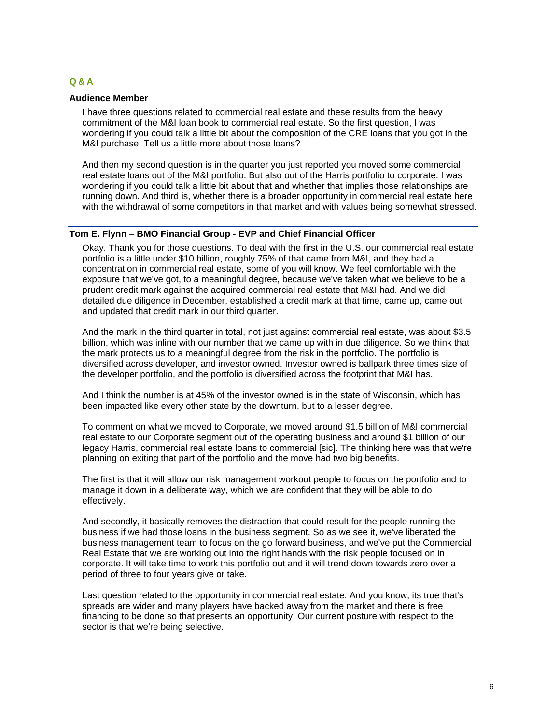# **Q&A**

# **Audience Member**

I have three questions related to commercial real estate and these results from the heavy commitment of the M&I loan book to commercial real estate. So the first question, I was wondering if you could talk a little bit about the composition of the CRE loans that you got in the M&I purchase. Tell us a little more about those loans?

And then my second question is in the quarter you just reported you moved some commercial real estate loans out of the M&I portfolio. But also out of the Harris portfolio to corporate. I was wondering if you could talk a little bit about that and whether that implies those relationships are running down. And third is, whether there is a broader opportunity in commercial real estate here with the withdrawal of some competitors in that market and with values being somewhat stressed.

### **Tom E. Flynn – BMO Financial Group - EVP and Chief Financial Officer**

Okay. Thank you for those questions. To deal with the first in the U.S. our commercial real estate portfolio is a little under \$10 billion, roughly 75% of that came from M&I, and they had a concentration in commercial real estate, some of you will know. We feel comfortable with the exposure that we've got, to a meaningful degree, because we've taken what we believe to be a prudent credit mark against the acquired commercial real estate that M&I had. And we did detailed due diligence in December, established a credit mark at that time, came up, came out and updated that credit mark in our third quarter.

And the mark in the third quarter in total, not just against commercial real estate, was about \$3.5 billion, which was inline with our number that we came up with in due diligence. So we think that the mark protects us to a meaningful degree from the risk in the portfolio. The portfolio is diversified across developer, and investor owned. Investor owned is ballpark three times size of the developer portfolio, and the portfolio is diversified across the footprint that M&I has.

And I think the number is at 45% of the investor owned is in the state of Wisconsin, which has been impacted like every other state by the downturn, but to a lesser degree.

To comment on what we moved to Corporate, we moved around \$1.5 billion of M&I commercial real estate to our Corporate segment out of the operating business and around \$1 billion of our legacy Harris, commercial real estate loans to commercial [sic]. The thinking here was that we're planning on exiting that part of the portfolio and the move had two big benefits.

The first is that it will allow our risk management workout people to focus on the portfolio and to manage it down in a deliberate way, which we are confident that they will be able to do effectively.

And secondly, it basically removes the distraction that could result for the people running the business if we had those loans in the business segment. So as we see it, we've liberated the business management team to focus on the go forward business, and we've put the Commercial Real Estate that we are working out into the right hands with the risk people focused on in corporate. It will take time to work this portfolio out and it will trend down towards zero over a period of three to four years give or take.

Last question related to the opportunity in commercial real estate. And you know, its true that's spreads are wider and many players have backed away from the market and there is free financing to be done so that presents an opportunity. Our current posture with respect to the sector is that we're being selective.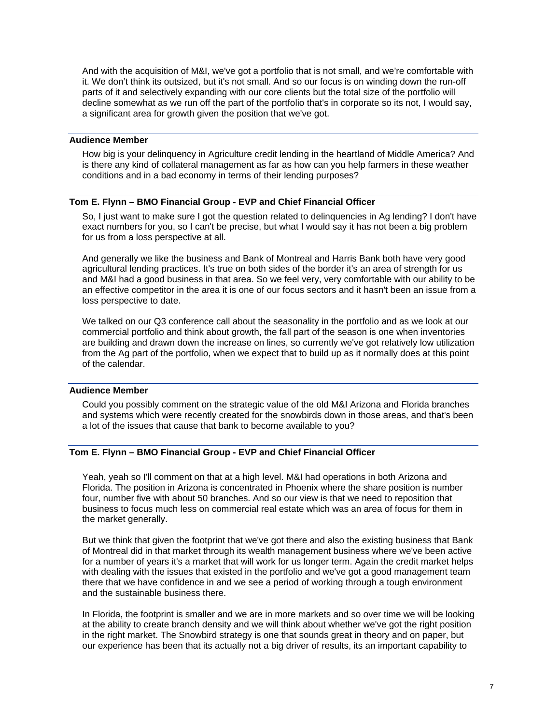And with the acquisition of M&I, we've got a portfolio that is not small, and we're comfortable with it. We don't think its outsized, but it's not small. And so our focus is on winding down the run-off parts of it and selectively expanding with our core clients but the total size of the portfolio will decline somewhat as we run off the part of the portfolio that's in corporate so its not, I would say, a significant area for growth given the position that we've got.

#### **Audience Member**

How big is your delinquency in Agriculture credit lending in the heartland of Middle America? And is there any kind of collateral management as far as how can you help farmers in these weather conditions and in a bad economy in terms of their lending purposes?

# **Tom E. Flynn – BMO Financial Group - EVP and Chief Financial Officer**

So, I just want to make sure I got the question related to delinquencies in Ag lending? I don't have exact numbers for you, so I can't be precise, but what I would say it has not been a big problem for us from a loss perspective at all.

And generally we like the business and Bank of Montreal and Harris Bank both have very good agricultural lending practices. It's true on both sides of the border it's an area of strength for us and M&I had a good business in that area. So we feel very, very comfortable with our ability to be an effective competitor in the area it is one of our focus sectors and it hasn't been an issue from a loss perspective to date.

We talked on our Q3 conference call about the seasonality in the portfolio and as we look at our commercial portfolio and think about growth, the fall part of the season is one when inventories are building and drawn down the increase on lines, so currently we've got relatively low utilization from the Ag part of the portfolio, when we expect that to build up as it normally does at this point of the calendar.

# **Audience Member**

Could you possibly comment on the strategic value of the old M&I Arizona and Florida branches and systems which were recently created for the snowbirds down in those areas, and that's been a lot of the issues that cause that bank to become available to you?

# **Tom E. Flynn – BMO Financial Group - EVP and Chief Financial Officer**

Yeah, yeah so I'll comment on that at a high level. M&I had operations in both Arizona and Florida. The position in Arizona is concentrated in Phoenix where the share position is number four, number five with about 50 branches. And so our view is that we need to reposition that business to focus much less on commercial real estate which was an area of focus for them in the market generally.

But we think that given the footprint that we've got there and also the existing business that Bank of Montreal did in that market through its wealth management business where we've been active for a number of years it's a market that will work for us longer term. Again the credit market helps with dealing with the issues that existed in the portfolio and we've got a good management team there that we have confidence in and we see a period of working through a tough environment and the sustainable business there.

In Florida, the footprint is smaller and we are in more markets and so over time we will be looking at the ability to create branch density and we will think about whether we've got the right position in the right market. The Snowbird strategy is one that sounds great in theory and on paper, but our experience has been that its actually not a big driver of results, its an important capability to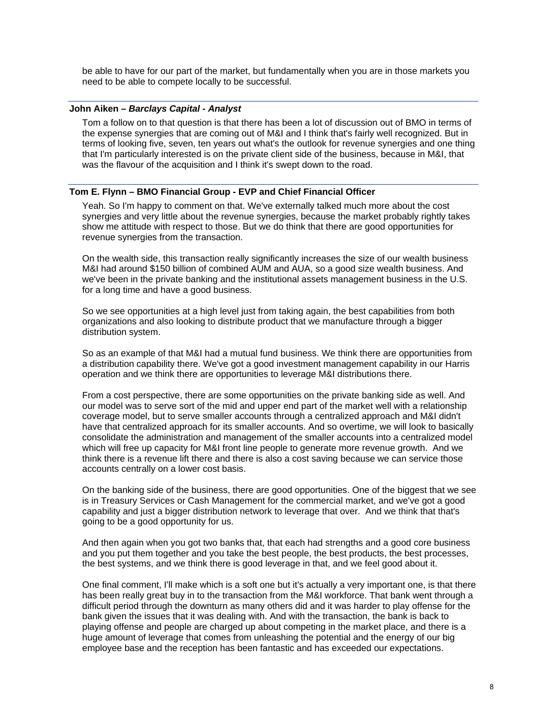be able to have for our part of the market, but fundamentally when you are in those markets you need to be able to compete locally to be successful.

### **John Aiken** *– Barclays Capital - Analyst*

Tom a follow on to that question is that there has been a lot of discussion out of BMO in terms of the expense synergies that are coming out of M&I and I think that's fairly well recognized. But in terms of looking five, seven, ten years out what's the outlook for revenue synergies and one thing that I'm particularly interested is on the private client side of the business, because in M&I, that was the flavour of the acquisition and I think it's swept down to the road.

# **Tom E. Flynn – BMO Financial Group - EVP and Chief Financial Officer**

Yeah. So I'm happy to comment on that. We've externally talked much more about the cost synergies and very little about the revenue synergies, because the market probably rightly takes show me attitude with respect to those. But we do think that there are good opportunities for revenue synergies from the transaction.

On the wealth side, this transaction really significantly increases the size of our wealth business M&I had around \$150 billion of combined AUM and AUA, so a good size wealth business. And we've been in the private banking and the institutional assets management business in the U.S. for a long time and have a good business.

So we see opportunities at a high level just from taking again, the best capabilities from both organizations and also looking to distribute product that we manufacture through a bigger distribution system.

So as an example of that M&I had a mutual fund business. We think there are opportunities from a distribution capability there. We've got a good investment management capability in our Harris operation and we think there are opportunities to leverage M&I distributions there.

From a cost perspective, there are some opportunities on the private banking side as well. And our model was to serve sort of the mid and upper end part of the market well with a relationship coverage model, but to serve smaller accounts through a centralized approach and M&I didn't have that centralized approach for its smaller accounts. And so overtime, we will look to basically consolidate the administration and management of the smaller accounts into a centralized model which will free up capacity for M&I front line people to generate more revenue growth. And we think there is a revenue lift there and there is also a cost saving because we can service those accounts centrally on a lower cost basis.

On the banking side of the business, there are good opportunities. One of the biggest that we see is in Treasury Services or Cash Management for the commercial market, and we've got a good capability and just a bigger distribution network to leverage that over. And we think that that's going to be a good opportunity for us.

And then again when you got two banks that, that each had strengths and a good core business and you put them together and you take the best people, the best products, the best processes, the best systems, and we think there is good leverage in that, and we feel good about it.

One final comment, I'll make which is a soft one but it's actually a very important one, is that there has been really great buy in to the transaction from the M&I workforce. That bank went through a difficult period through the downturn as many others did and it was harder to play offense for the bank given the issues that it was dealing with. And with the transaction, the bank is back to playing offense and people are charged up about competing in the market place, and there is a huge amount of leverage that comes from unleashing the potential and the energy of our big employee base and the reception has been fantastic and has exceeded our expectations.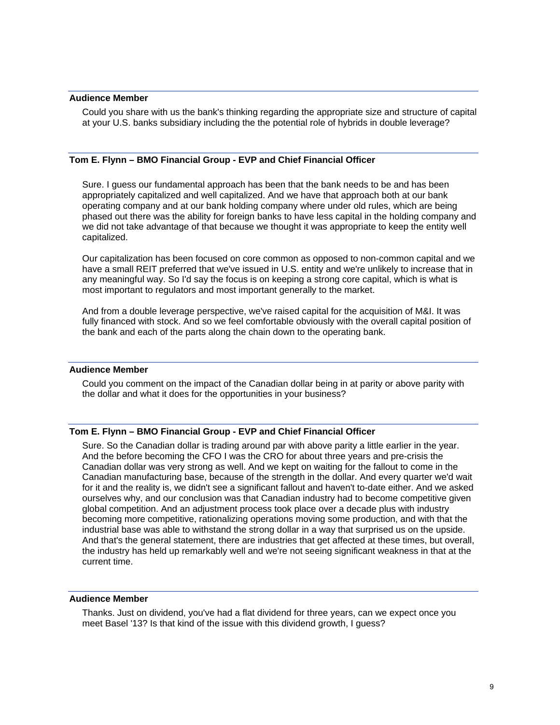# **Audience Member**

Could you share with us the bank's thinking regarding the appropriate size and structure of capital at your U.S. banks subsidiary including the the potential role of hybrids in double leverage?

#### **Tom E. Flynn – BMO Financial Group - EVP and Chief Financial Officer**

Sure. I guess our fundamental approach has been that the bank needs to be and has been appropriately capitalized and well capitalized. And we have that approach both at our bank operating company and at our bank holding company where under old rules, which are being phased out there was the ability for foreign banks to have less capital in the holding company and we did not take advantage of that because we thought it was appropriate to keep the entity well capitalized.

Our capitalization has been focused on core common as opposed to non-common capital and we have a small REIT preferred that we've issued in U.S. entity and we're unlikely to increase that in any meaningful way. So I'd say the focus is on keeping a strong core capital, which is what is most important to regulators and most important generally to the market.

And from a double leverage perspective, we've raised capital for the acquisition of M&I. It was fully financed with stock. And so we feel comfortable obviously with the overall capital position of the bank and each of the parts along the chain down to the operating bank.

#### **Audience Member**

Could you comment on the impact of the Canadian dollar being in at parity or above parity with the dollar and what it does for the opportunities in your business?

#### **Tom E. Flynn – BMO Financial Group - EVP and Chief Financial Officer**

Sure. So the Canadian dollar is trading around par with above parity a little earlier in the year. And the before becoming the CFO I was the CRO for about three years and pre-crisis the Canadian dollar was very strong as well. And we kept on waiting for the fallout to come in the Canadian manufacturing base, because of the strength in the dollar. And every quarter we'd wait for it and the reality is, we didn't see a significant fallout and haven't to-date either. And we asked ourselves why, and our conclusion was that Canadian industry had to become competitive given global competition. And an adjustment process took place over a decade plus with industry becoming more competitive, rationalizing operations moving some production, and with that the industrial base was able to withstand the strong dollar in a way that surprised us on the upside. And that's the general statement, there are industries that get affected at these times, but overall, the industry has held up remarkably well and we're not seeing significant weakness in that at the current time.

### **Audience Member**

Thanks. Just on dividend, you've had a flat dividend for three years, can we expect once you meet Basel '13? Is that kind of the issue with this dividend growth, I guess?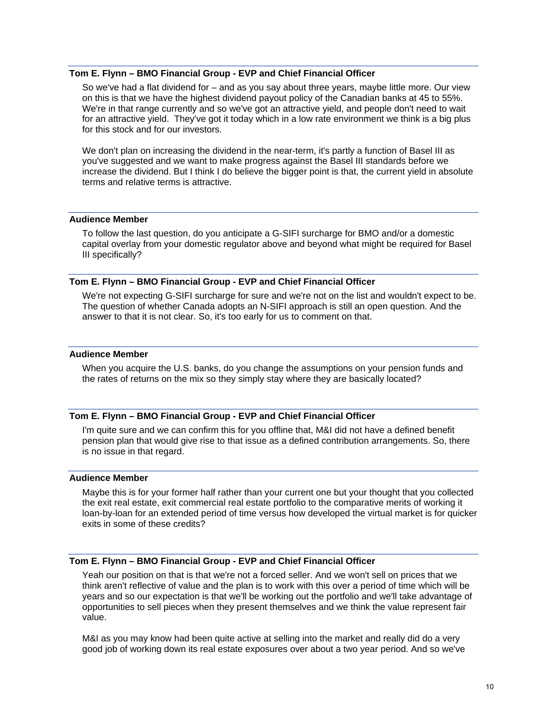#### **Tom E. Flynn – BMO Financial Group - EVP and Chief Financial Officer**

So we've had a flat dividend for – and as you say about three years, maybe little more. Our view on this is that we have the highest dividend payout policy of the Canadian banks at 45 to 55%. We're in that range currently and so we've got an attractive yield, and people don't need to wait for an attractive yield. They've got it today which in a low rate environment we think is a big plus for this stock and for our investors.

We don't plan on increasing the dividend in the near-term, it's partly a function of Basel III as you've suggested and we want to make progress against the Basel III standards before we increase the dividend. But I think I do believe the bigger point is that, the current yield in absolute terms and relative terms is attractive.

#### **Audience Member**

To follow the last question, do you anticipate a G-SIFI surcharge for BMO and/or a domestic capital overlay from your domestic regulator above and beyond what might be required for Basel III specifically?

# **Tom E. Flynn – BMO Financial Group - EVP and Chief Financial Officer**

We're not expecting G-SIFI surcharge for sure and we're not on the list and wouldn't expect to be. The question of whether Canada adopts an N-SIFI approach is still an open question. And the answer to that it is not clear. So, it's too early for us to comment on that.

## **Audience Member**

When you acquire the U.S. banks, do you change the assumptions on your pension funds and the rates of returns on the mix so they simply stay where they are basically located?

### **Tom E. Flynn – BMO Financial Group - EVP and Chief Financial Officer**

I'm quite sure and we can confirm this for you offline that, M&I did not have a defined benefit pension plan that would give rise to that issue as a defined contribution arrangements. So, there is no issue in that regard.

### **Audience Member**

Maybe this is for your former half rather than your current one but your thought that you collected the exit real estate, exit commercial real estate portfolio to the comparative merits of working it loan-by-loan for an extended period of time versus how developed the virtual market is for quicker exits in some of these credits?

### **Tom E. Flynn – BMO Financial Group - EVP and Chief Financial Officer**

Yeah our position on that is that we're not a forced seller. And we won't sell on prices that we think aren't reflective of value and the plan is to work with this over a period of time which will be years and so our expectation is that we'll be working out the portfolio and we'll take advantage of opportunities to sell pieces when they present themselves and we think the value represent fair value.

M&I as you may know had been quite active at selling into the market and really did do a very good job of working down its real estate exposures over about a two year period. And so we've